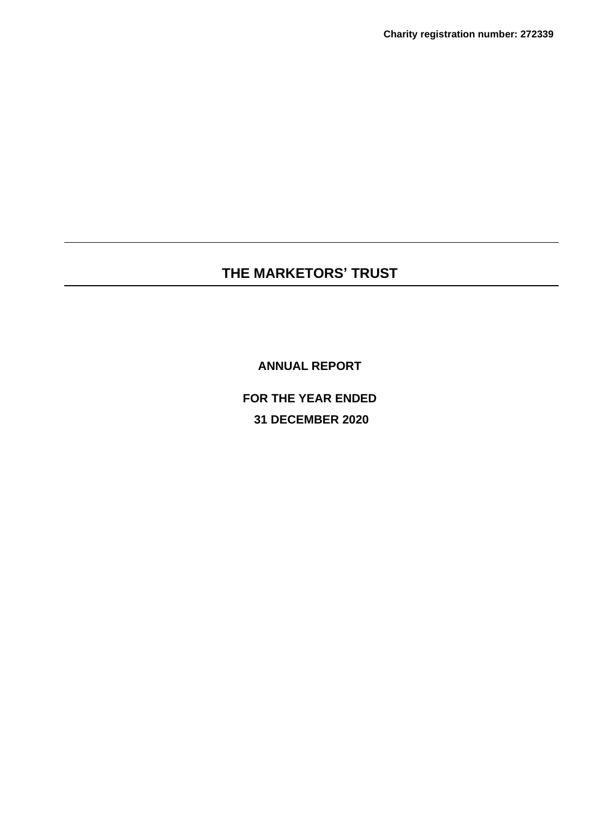**ANNUAL REPORT**

**FOR THE YEAR ENDED 31 DECEMBER 2020**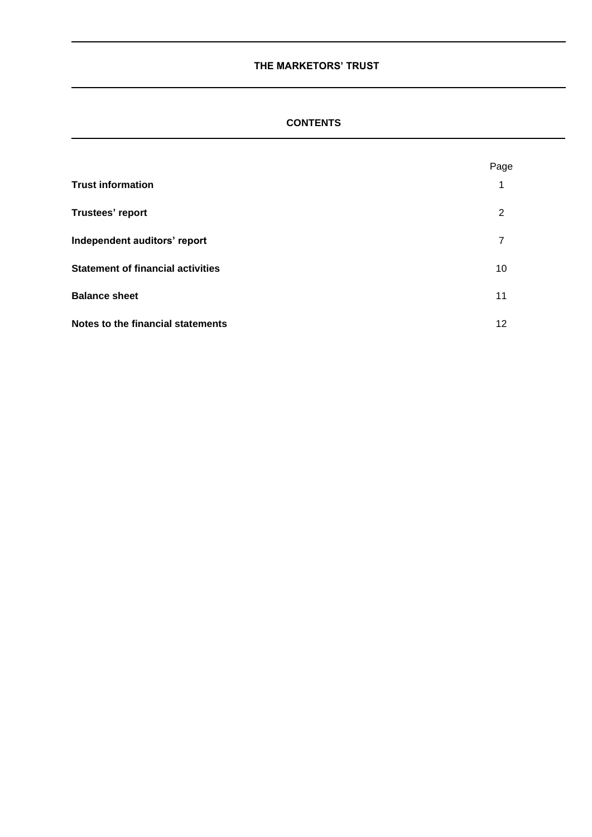# **CONTENTS**

|                                          | Page |
|------------------------------------------|------|
| <b>Trust information</b>                 | 1    |
| Trustees' report                         | 2    |
| Independent auditors' report             | 7    |
| <b>Statement of financial activities</b> | 10   |
| <b>Balance sheet</b>                     | 11   |
| Notes to the financial statements        | 12   |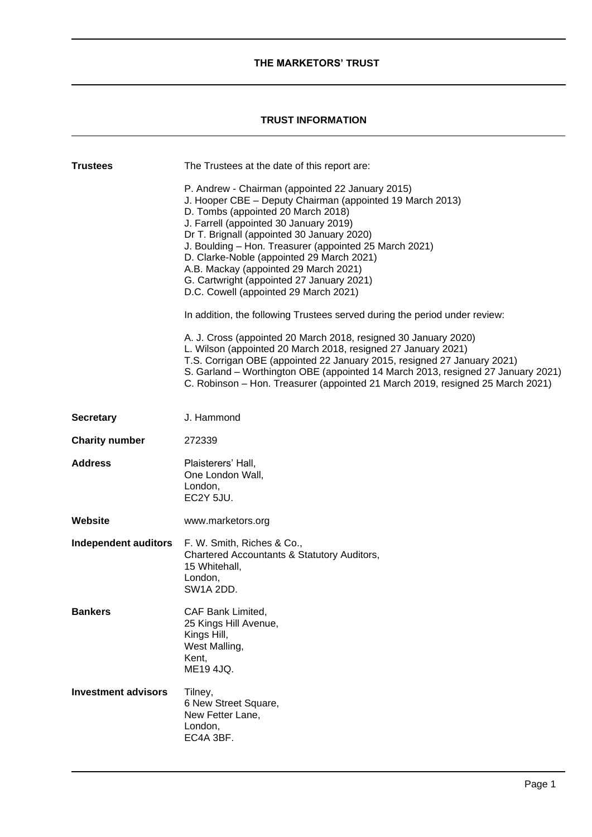# **TRUST INFORMATION**

| <b>Trustees</b>             | The Trustees at the date of this report are:<br>P. Andrew - Chairman (appointed 22 January 2015)<br>J. Hooper CBE - Deputy Chairman (appointed 19 March 2013)<br>D. Tombs (appointed 20 March 2018)<br>J. Farrell (appointed 30 January 2019)<br>Dr T. Brignall (appointed 30 January 2020)<br>J. Boulding - Hon. Treasurer (appointed 25 March 2021)<br>D. Clarke-Noble (appointed 29 March 2021)<br>A.B. Mackay (appointed 29 March 2021)<br>G. Cartwright (appointed 27 January 2021)<br>D.C. Cowell (appointed 29 March 2021)<br>In addition, the following Trustees served during the period under review:<br>A. J. Cross (appointed 20 March 2018, resigned 30 January 2020)<br>L. Wilson (appointed 20 March 2018, resigned 27 January 2021)<br>T.S. Corrigan OBE (appointed 22 January 2015, resigned 27 January 2021)<br>S. Garland - Worthington OBE (appointed 14 March 2013, resigned 27 January 2021)<br>C. Robinson - Hon. Treasurer (appointed 21 March 2019, resigned 25 March 2021) |
|-----------------------------|------------------------------------------------------------------------------------------------------------------------------------------------------------------------------------------------------------------------------------------------------------------------------------------------------------------------------------------------------------------------------------------------------------------------------------------------------------------------------------------------------------------------------------------------------------------------------------------------------------------------------------------------------------------------------------------------------------------------------------------------------------------------------------------------------------------------------------------------------------------------------------------------------------------------------------------------------------------------------------------------------|
| <b>Secretary</b>            | J. Hammond                                                                                                                                                                                                                                                                                                                                                                                                                                                                                                                                                                                                                                                                                                                                                                                                                                                                                                                                                                                           |
| <b>Charity number</b>       | 272339                                                                                                                                                                                                                                                                                                                                                                                                                                                                                                                                                                                                                                                                                                                                                                                                                                                                                                                                                                                               |
| <b>Address</b>              | Plaisterers' Hall,<br>One London Wall,<br>London,<br>EC2Y 5JU.                                                                                                                                                                                                                                                                                                                                                                                                                                                                                                                                                                                                                                                                                                                                                                                                                                                                                                                                       |
| <b>Website</b>              | www.marketors.org                                                                                                                                                                                                                                                                                                                                                                                                                                                                                                                                                                                                                                                                                                                                                                                                                                                                                                                                                                                    |
| <b>Independent auditors</b> | F. W. Smith, Riches & Co.,<br>Chartered Accountants & Statutory Auditors,<br>15 Whitehall,<br>London,<br>SW1A 2DD.                                                                                                                                                                                                                                                                                                                                                                                                                                                                                                                                                                                                                                                                                                                                                                                                                                                                                   |
| <b>Bankers</b>              | CAF Bank Limited,<br>25 Kings Hill Avenue,<br>Kings Hill,<br>West Malling,<br>Kent,<br>ME19 4JQ.                                                                                                                                                                                                                                                                                                                                                                                                                                                                                                                                                                                                                                                                                                                                                                                                                                                                                                     |
| <b>Investment advisors</b>  | Tilney,<br>6 New Street Square,<br>New Fetter Lane,<br>London,<br>EC4A 3BF.                                                                                                                                                                                                                                                                                                                                                                                                                                                                                                                                                                                                                                                                                                                                                                                                                                                                                                                          |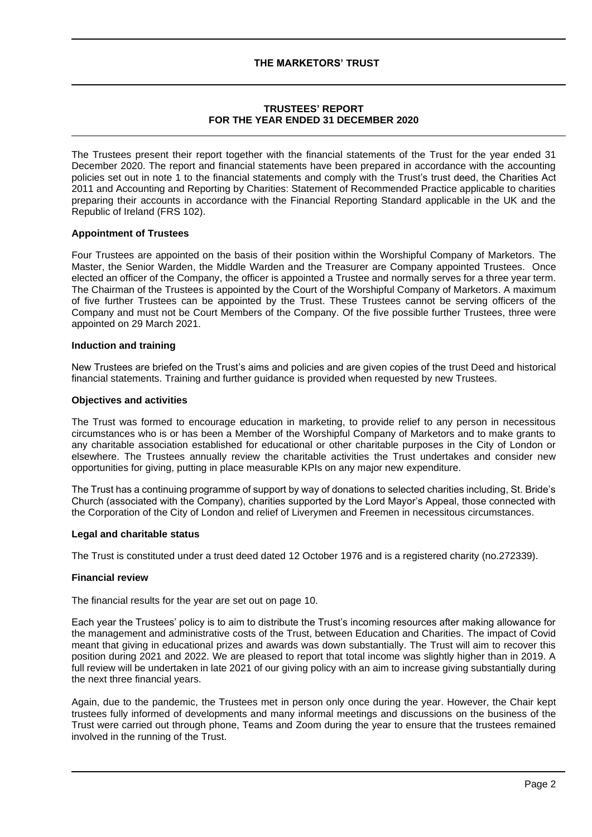# **TRUSTEES' REPORT FOR THE YEAR ENDED 31 DECEMBER 2020**

The Trustees present their report together with the financial statements of the Trust for the year ended 31 December 2020. The report and financial statements have been prepared in accordance with the accounting policies set out in note 1 to the financial statements and comply with the Trust's trust deed, the Charities Act 2011 and Accounting and Reporting by Charities: Statement of Recommended Practice applicable to charities preparing their accounts in accordance with the Financial Reporting Standard applicable in the UK and the Republic of Ireland (FRS 102).

# **Appointment of Trustees**

Four Trustees are appointed on the basis of their position within the Worshipful Company of Marketors. The Master, the Senior Warden, the Middle Warden and the Treasurer are Company appointed Trustees. Once elected an officer of the Company, the officer is appointed a Trustee and normally serves for a three year term. The Chairman of the Trustees is appointed by the Court of the Worshipful Company of Marketors. A maximum of five further Trustees can be appointed by the Trust. These Trustees cannot be serving officers of the Company and must not be Court Members of the Company. Of the five possible further Trustees, three were appointed on 29 March 2021.

#### **Induction and training**

New Trustees are briefed on the Trust's aims and policies and are given copies of the trust Deed and historical financial statements. Training and further guidance is provided when requested by new Trustees.

#### **Objectives and activities**

The Trust was formed to encourage education in marketing, to provide relief to any person in necessitous circumstances who is or has been a Member of the Worshipful Company of Marketors and to make grants to any charitable association established for educational or other charitable purposes in the City of London or elsewhere. The Trustees annually review the charitable activities the Trust undertakes and consider new opportunities for giving, putting in place measurable KPIs on any major new expenditure.

The Trust has a continuing programme of support by way of donations to selected charities including, St. Bride's Church (associated with the Company), charities supported by the Lord Mayor's Appeal, those connected with the Corporation of the City of London and relief of Liverymen and Freemen in necessitous circumstances.

#### **Legal and charitable status**

The Trust is constituted under a trust deed dated 12 October 1976 and is a registered charity (no.272339).

#### **Financial review**

The financial results for the year are set out on page 10.

Each year the Trustees' policy is to aim to distribute the Trust's incoming resources after making allowance for the management and administrative costs of the Trust, between Education and Charities. The impact of Covid meant that giving in educational prizes and awards was down substantially. The Trust will aim to recover this position during 2021 and 2022. We are pleased to report that total income was slightly higher than in 2019. A full review will be undertaken in late 2021 of our giving policy with an aim to increase giving substantially during the next three financial years.

Again, due to the pandemic, the Trustees met in person only once during the year. However, the Chair kept trustees fully informed of developments and many informal meetings and discussions on the business of the Trust were carried out through phone, Teams and Zoom during the year to ensure that the trustees remained involved in the running of the Trust.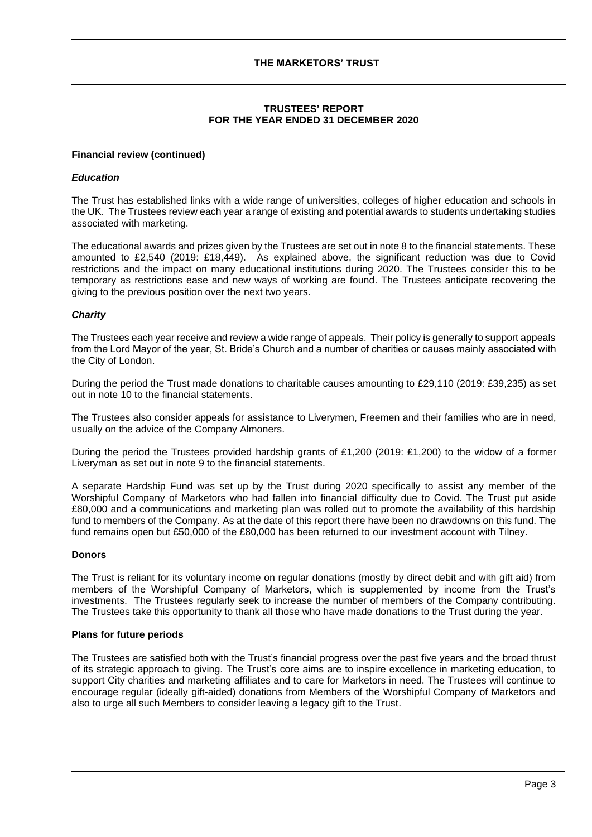# **TRUSTEES' REPORT FOR THE YEAR ENDED 31 DECEMBER 2020**

#### **Financial review (continued)**

### *Education*

The Trust has established links with a wide range of universities, colleges of higher education and schools in the UK. The Trustees review each year a range of existing and potential awards to students undertaking studies associated with marketing.

The educational awards and prizes given by the Trustees are set out in note 8 to the financial statements. These amounted to £2,540 (2019: £18,449). As explained above, the significant reduction was due to Covid restrictions and the impact on many educational institutions during 2020. The Trustees consider this to be temporary as restrictions ease and new ways of working are found. The Trustees anticipate recovering the giving to the previous position over the next two years.

### *Charity*

The Trustees each year receive and review a wide range of appeals. Their policy is generally to support appeals from the Lord Mayor of the year, St. Bride's Church and a number of charities or causes mainly associated with the City of London.

During the period the Trust made donations to charitable causes amounting to £29,110 (2019: £39,235) as set out in note 10 to the financial statements.

The Trustees also consider appeals for assistance to Liverymen, Freemen and their families who are in need, usually on the advice of the Company Almoners.

During the period the Trustees provided hardship grants of £1,200 (2019: £1,200) to the widow of a former Liveryman as set out in note 9 to the financial statements.

A separate Hardship Fund was set up by the Trust during 2020 specifically to assist any member of the Worshipful Company of Marketors who had fallen into financial difficulty due to Covid. The Trust put aside £80,000 and a communications and marketing plan was rolled out to promote the availability of this hardship fund to members of the Company. As at the date of this report there have been no drawdowns on this fund. The fund remains open but £50,000 of the £80,000 has been returned to our investment account with Tilney.

#### **Donors**

The Trust is reliant for its voluntary income on regular donations (mostly by direct debit and with gift aid) from members of the Worshipful Company of Marketors, which is supplemented by income from the Trust's investments. The Trustees regularly seek to increase the number of members of the Company contributing. The Trustees take this opportunity to thank all those who have made donations to the Trust during the year.

#### **Plans for future periods**

The Trustees are satisfied both with the Trust's financial progress over the past five years and the broad thrust of its strategic approach to giving. The Trust's core aims are to inspire excellence in marketing education, to support City charities and marketing affiliates and to care for Marketors in need. The Trustees will continue to encourage regular (ideally gift-aided) donations from Members of the Worshipful Company of Marketors and also to urge all such Members to consider leaving a legacy gift to the Trust.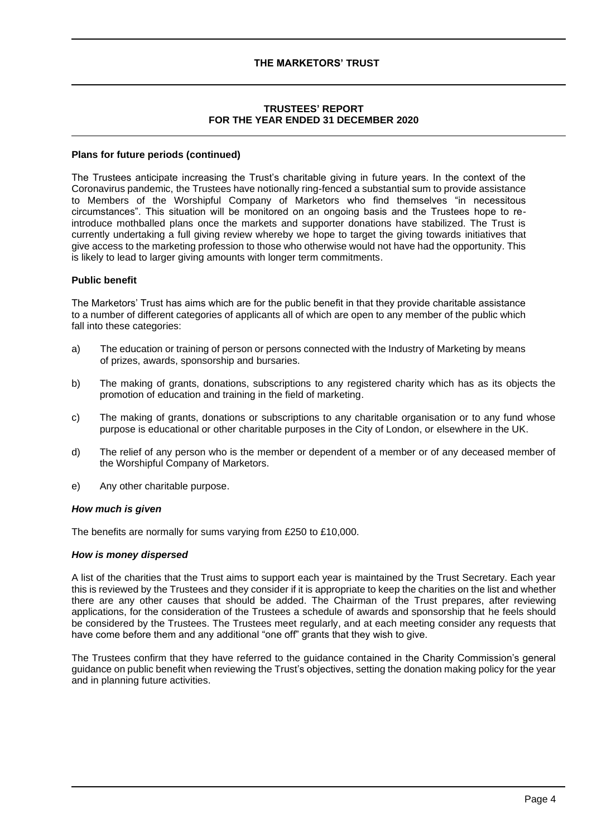# **TRUSTEES' REPORT FOR THE YEAR ENDED 31 DECEMBER 2020**

#### **Plans for future periods (continued)**

The Trustees anticipate increasing the Trust's charitable giving in future years. In the context of the Coronavirus pandemic, the Trustees have notionally ring-fenced a substantial sum to provide assistance to Members of the Worshipful Company of Marketors who find themselves "in necessitous circumstances". This situation will be monitored on an ongoing basis and the Trustees hope to reintroduce mothballed plans once the markets and supporter donations have stabilized. The Trust is currently undertaking a full giving review whereby we hope to target the giving towards initiatives that give access to the marketing profession to those who otherwise would not have had the opportunity. This is likely to lead to larger giving amounts with longer term commitments.

### **Public benefit**

The Marketors' Trust has aims which are for the public benefit in that they provide charitable assistance to a number of different categories of applicants all of which are open to any member of the public which fall into these categories:

- a) The education or training of person or persons connected with the Industry of Marketing by means of prizes, awards, sponsorship and bursaries.
- b) The making of grants, donations, subscriptions to any registered charity which has as its objects the promotion of education and training in the field of marketing.
- c) The making of grants, donations or subscriptions to any charitable organisation or to any fund whose purpose is educational or other charitable purposes in the City of London, or elsewhere in the UK.
- d) The relief of any person who is the member or dependent of a member or of any deceased member of the Worshipful Company of Marketors.
- e) Any other charitable purpose.

#### *How much is given*

The benefits are normally for sums varying from £250 to £10,000.

#### *How is money dispersed*

A list of the charities that the Trust aims to support each year is maintained by the Trust Secretary. Each year this is reviewed by the Trustees and they consider if it is appropriate to keep the charities on the list and whether there are any other causes that should be added. The Chairman of the Trust prepares, after reviewing applications, for the consideration of the Trustees a schedule of awards and sponsorship that he feels should be considered by the Trustees. The Trustees meet regularly, and at each meeting consider any requests that have come before them and any additional "one off" grants that they wish to give.

The Trustees confirm that they have referred to the guidance contained in the Charity Commission's general guidance on public benefit when reviewing the Trust's objectives, setting the donation making policy for the year and in planning future activities.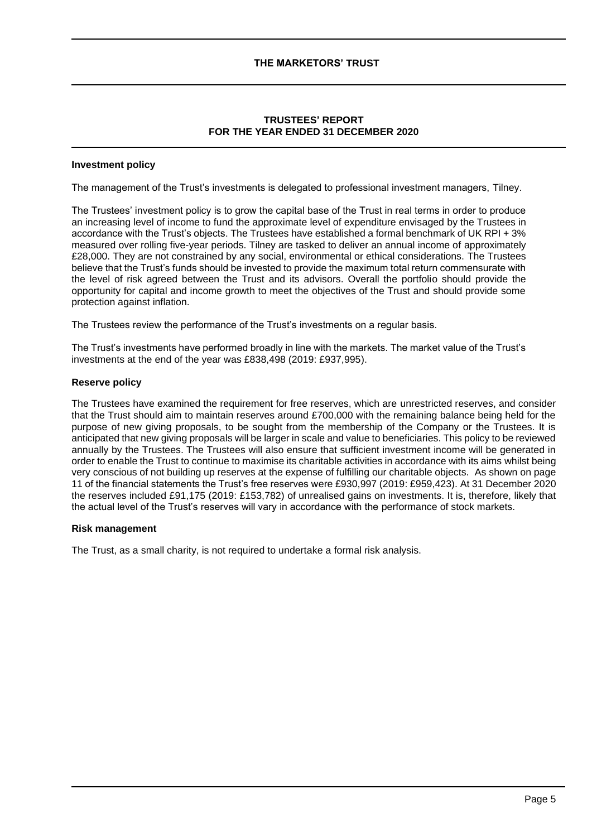# **TRUSTEES' REPORT FOR THE YEAR ENDED 31 DECEMBER 2020**

#### **Investment policy**

The management of the Trust's investments is delegated to professional investment managers, Tilney.

The Trustees' investment policy is to grow the capital base of the Trust in real terms in order to produce an increasing level of income to fund the approximate level of expenditure envisaged by the Trustees in accordance with the Trust's objects. The Trustees have established a formal benchmark of UK RPI + 3% measured over rolling five-year periods. Tilney are tasked to deliver an annual income of approximately £28,000. They are not constrained by any social, environmental or ethical considerations. The Trustees believe that the Trust's funds should be invested to provide the maximum total return commensurate with the level of risk agreed between the Trust and its advisors. Overall the portfolio should provide the opportunity for capital and income growth to meet the objectives of the Trust and should provide some protection against inflation.

The Trustees review the performance of the Trust's investments on a regular basis.

The Trust's investments have performed broadly in line with the markets. The market value of the Trust's investments at the end of the year was £838,498 (2019: £937,995).

### **Reserve policy**

The Trustees have examined the requirement for free reserves, which are unrestricted reserves, and consider that the Trust should aim to maintain reserves around £700,000 with the remaining balance being held for the purpose of new giving proposals, to be sought from the membership of the Company or the Trustees. It is anticipated that new giving proposals will be larger in scale and value to beneficiaries. This policy to be reviewed annually by the Trustees. The Trustees will also ensure that sufficient investment income will be generated in order to enable the Trust to continue to maximise its charitable activities in accordance with its aims whilst being very conscious of not building up reserves at the expense of fulfilling our charitable objects. As shown on page 11 of the financial statements the Trust's free reserves were £930,997 (2019: £959,423). At 31 December 2020 the reserves included £91,175 (2019: £153,782) of unrealised gains on investments. It is, therefore, likely that the actual level of the Trust's reserves will vary in accordance with the performance of stock markets.

#### **Risk management**

The Trust, as a small charity, is not required to undertake a formal risk analysis.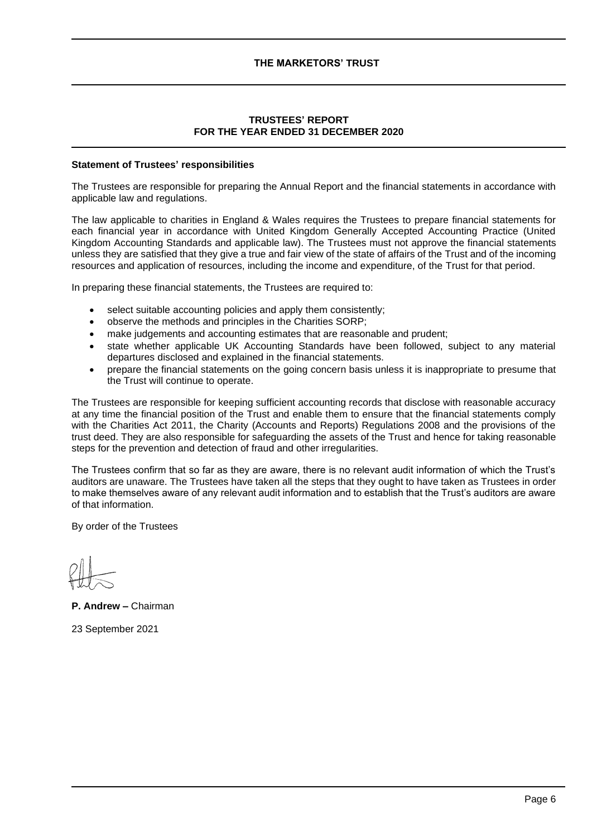# **TRUSTEES' REPORT FOR THE YEAR ENDED 31 DECEMBER 2020**

### **Statement of Trustees' responsibilities**

The Trustees are responsible for preparing the Annual Report and the financial statements in accordance with applicable law and regulations.

The law applicable to charities in England & Wales requires the Trustees to prepare financial statements for each financial year in accordance with United Kingdom Generally Accepted Accounting Practice (United Kingdom Accounting Standards and applicable law). The Trustees must not approve the financial statements unless they are satisfied that they give a true and fair view of the state of affairs of the Trust and of the incoming resources and application of resources, including the income and expenditure, of the Trust for that period.

In preparing these financial statements, the Trustees are required to:

- select suitable accounting policies and apply them consistently;
- observe the methods and principles in the Charities SORP;
- make judgements and accounting estimates that are reasonable and prudent;
- state whether applicable UK Accounting Standards have been followed, subject to any material departures disclosed and explained in the financial statements.
- prepare the financial statements on the going concern basis unless it is inappropriate to presume that the Trust will continue to operate.

The Trustees are responsible for keeping sufficient accounting records that disclose with reasonable accuracy at any time the financial position of the Trust and enable them to ensure that the financial statements comply with the Charities Act 2011, the Charity (Accounts and Reports) Regulations 2008 and the provisions of the trust deed. They are also responsible for safeguarding the assets of the Trust and hence for taking reasonable steps for the prevention and detection of fraud and other irregularities.

The Trustees confirm that so far as they are aware, there is no relevant audit information of which the Trust's auditors are unaware. The Trustees have taken all the steps that they ought to have taken as Trustees in order to make themselves aware of any relevant audit information and to establish that the Trust's auditors are aware of that information.

By order of the Trustees

**P. Andrew –** Chairman

23 September 2021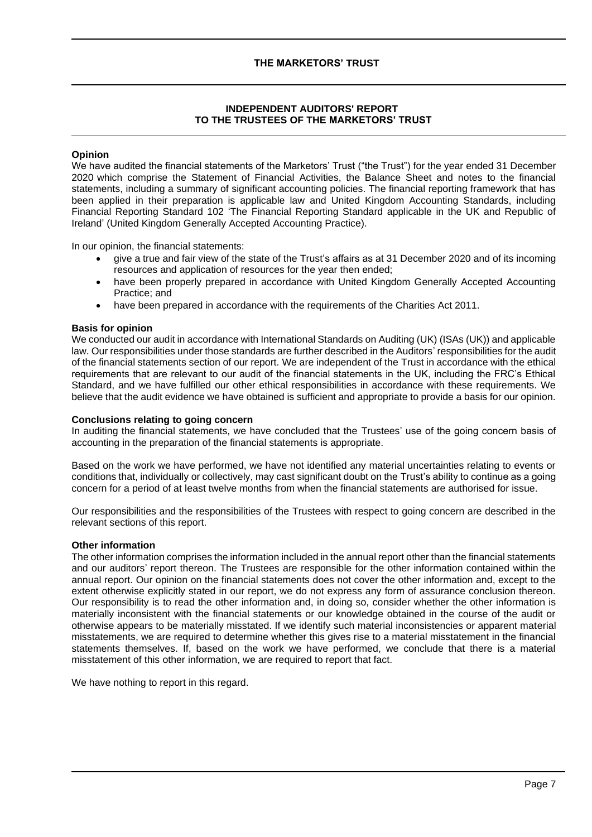# **INDEPENDENT AUDITORS' REPORT TO THE TRUSTEES OF THE MARKETORS' TRUST**

# **Opinion**

We have audited the financial statements of the Marketors' Trust ("the Trust") for the year ended 31 December 2020 which comprise the Statement of Financial Activities, the Balance Sheet and notes to the financial statements, including a summary of significant accounting policies. The financial reporting framework that has been applied in their preparation is applicable law and United Kingdom Accounting Standards, including Financial Reporting Standard 102 'The Financial Reporting Standard applicable in the UK and Republic of Ireland' (United Kingdom Generally Accepted Accounting Practice).

In our opinion, the financial statements:

- give a true and fair view of the state of the Trust's affairs as at 31 December 2020 and of its incoming resources and application of resources for the year then ended;
- have been properly prepared in accordance with United Kingdom Generally Accepted Accounting Practice; and
- have been prepared in accordance with the requirements of the Charities Act 2011.

### **Basis for opinion**

We conducted our audit in accordance with International Standards on Auditing (UK) (ISAs (UK)) and applicable law. Our responsibilities under those standards are further described in the Auditors' responsibilities for the audit of the financial statements section of our report. We are independent of the Trust in accordance with the ethical requirements that are relevant to our audit of the financial statements in the UK, including the FRC's Ethical Standard, and we have fulfilled our other ethical responsibilities in accordance with these requirements. We believe that the audit evidence we have obtained is sufficient and appropriate to provide a basis for our opinion.

#### **Conclusions relating to going concern**

In auditing the financial statements, we have concluded that the Trustees' use of the going concern basis of accounting in the preparation of the financial statements is appropriate.

Based on the work we have performed, we have not identified any material uncertainties relating to events or conditions that, individually or collectively, may cast significant doubt on the Trust's ability to continue as a going concern for a period of at least twelve months from when the financial statements are authorised for issue.

Our responsibilities and the responsibilities of the Trustees with respect to going concern are described in the relevant sections of this report.

#### **Other information**

The other information comprises the information included in the annual report other than the financial statements and our auditors' report thereon. The Trustees are responsible for the other information contained within the annual report. Our opinion on the financial statements does not cover the other information and, except to the extent otherwise explicitly stated in our report, we do not express any form of assurance conclusion thereon. Our responsibility is to read the other information and, in doing so, consider whether the other information is materially inconsistent with the financial statements or our knowledge obtained in the course of the audit or otherwise appears to be materially misstated. If we identify such material inconsistencies or apparent material misstatements, we are required to determine whether this gives rise to a material misstatement in the financial statements themselves. If, based on the work we have performed, we conclude that there is a material misstatement of this other information, we are required to report that fact.

We have nothing to report in this regard.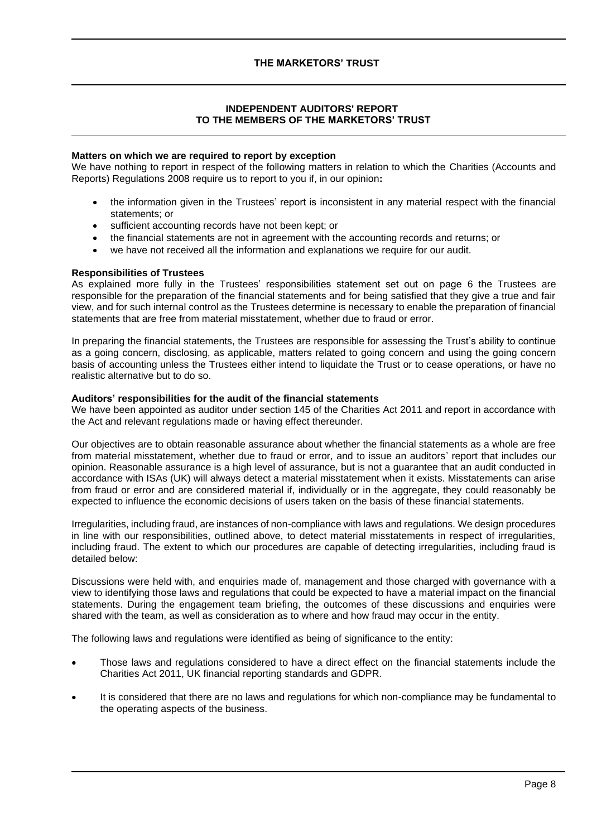# **INDEPENDENT AUDITORS' REPORT TO THE MEMBERS OF THE MARKETORS' TRUST**

### **Matters on which we are required to report by exception**

We have nothing to report in respect of the following matters in relation to which the Charities (Accounts and Reports) Regulations 2008 require us to report to you if, in our opinion**:**

- the information given in the Trustees' report is inconsistent in any material respect with the financial statements; or
- sufficient accounting records have not been kept; or
- the financial statements are not in agreement with the accounting records and returns; or
- we have not received all the information and explanations we require for our audit.

# **Responsibilities of Trustees**

As explained more fully in the Trustees' responsibilities statement set out on page 6 the Trustees are responsible for the preparation of the financial statements and for being satisfied that they give a true and fair view, and for such internal control as the Trustees determine is necessary to enable the preparation of financial statements that are free from material misstatement, whether due to fraud or error.

In preparing the financial statements, the Trustees are responsible for assessing the Trust's ability to continue as a going concern, disclosing, as applicable, matters related to going concern and using the going concern basis of accounting unless the Trustees either intend to liquidate the Trust or to cease operations, or have no realistic alternative but to do so.

# **Auditors' responsibilities for the audit of the financial statements**

We have been appointed as auditor under section 145 of the Charities Act 2011 and report in accordance with the Act and relevant regulations made or having effect thereunder.

Our objectives are to obtain reasonable assurance about whether the financial statements as a whole are free from material misstatement, whether due to fraud or error, and to issue an auditors' report that includes our opinion. Reasonable assurance is a high level of assurance, but is not a guarantee that an audit conducted in accordance with ISAs (UK) will always detect a material misstatement when it exists. Misstatements can arise from fraud or error and are considered material if, individually or in the aggregate, they could reasonably be expected to influence the economic decisions of users taken on the basis of these financial statements.

Irregularities, including fraud, are instances of non-compliance with laws and regulations. We design procedures in line with our responsibilities, outlined above, to detect material misstatements in respect of irregularities, including fraud. The extent to which our procedures are capable of detecting irregularities, including fraud is detailed below:

Discussions were held with, and enquiries made of, management and those charged with governance with a view to identifying those laws and regulations that could be expected to have a material impact on the financial statements. During the engagement team briefing, the outcomes of these discussions and enquiries were shared with the team, as well as consideration as to where and how fraud may occur in the entity.

The following laws and regulations were identified as being of significance to the entity:

- Those laws and regulations considered to have a direct effect on the financial statements include the Charities Act 2011, UK financial reporting standards and GDPR.
- It is considered that there are no laws and regulations for which non-compliance may be fundamental to the operating aspects of the business.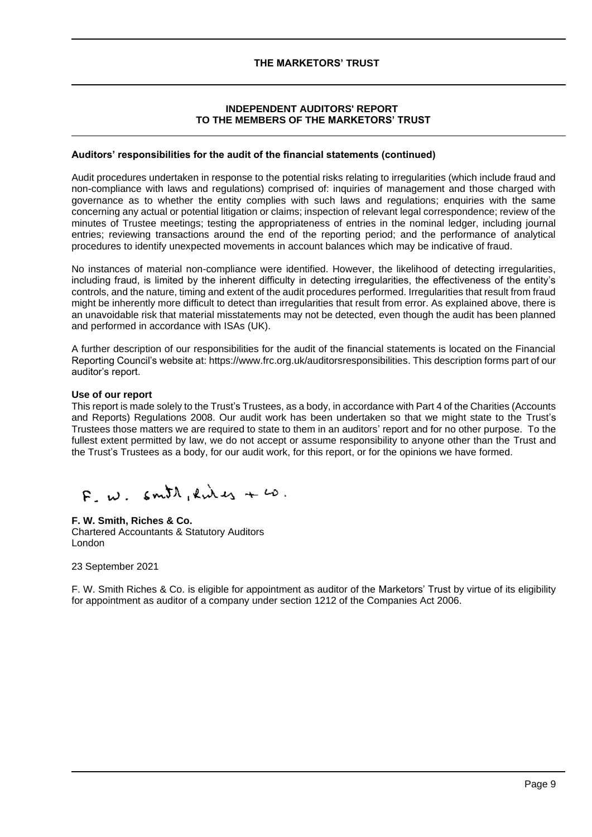# **INDEPENDENT AUDITORS' REPORT TO THE MEMBERS OF THE MARKETORS' TRUST**

# **Auditors' responsibilities for the audit of the financial statements (continued)**

Audit procedures undertaken in response to the potential risks relating to irregularities (which include fraud and non-compliance with laws and regulations) comprised of: inquiries of management and those charged with governance as to whether the entity complies with such laws and regulations; enquiries with the same concerning any actual or potential litigation or claims; inspection of relevant legal correspondence; review of the minutes of Trustee meetings; testing the appropriateness of entries in the nominal ledger, including journal entries; reviewing transactions around the end of the reporting period; and the performance of analytical procedures to identify unexpected movements in account balances which may be indicative of fraud.

No instances of material non-compliance were identified. However, the likelihood of detecting irregularities, including fraud, is limited by the inherent difficulty in detecting irregularities, the effectiveness of the entity's controls, and the nature, timing and extent of the audit procedures performed. Irregularities that result from fraud might be inherently more difficult to detect than irregularities that result from error. As explained above, there is an unavoidable risk that material misstatements may not be detected, even though the audit has been planned and performed in accordance with ISAs (UK).

A further description of our responsibilities for the audit of the financial statements is located on the Financial Reporting Council's website at: https://www.frc.org.uk/auditorsresponsibilities. This description forms part of our auditor's report.

#### **Use of our report**

This report is made solely to the Trust's Trustees, as a body, in accordance with Part 4 of the Charities (Accounts and Reports) Regulations 2008. Our audit work has been undertaken so that we might state to the Trust's Trustees those matters we are required to state to them in an auditors' report and for no other purpose. To the fullest extent permitted by law, we do not accept or assume responsibility to anyone other than the Trust and the Trust's Trustees as a body, for our audit work, for this report, or for the opinions we have formed.

 $F_w$   $\omega$ .  $\epsilon m \Omega$ , kings +  $\omega$ .

# **F. W. Smith, Riches & Co.**

Chartered Accountants & Statutory Auditors London

23 September 2021

F. W. Smith Riches & Co. is eligible for appointment as auditor of the Marketors' Trust by virtue of its eligibility for appointment as auditor of a company under section 1212 of the Companies Act 2006.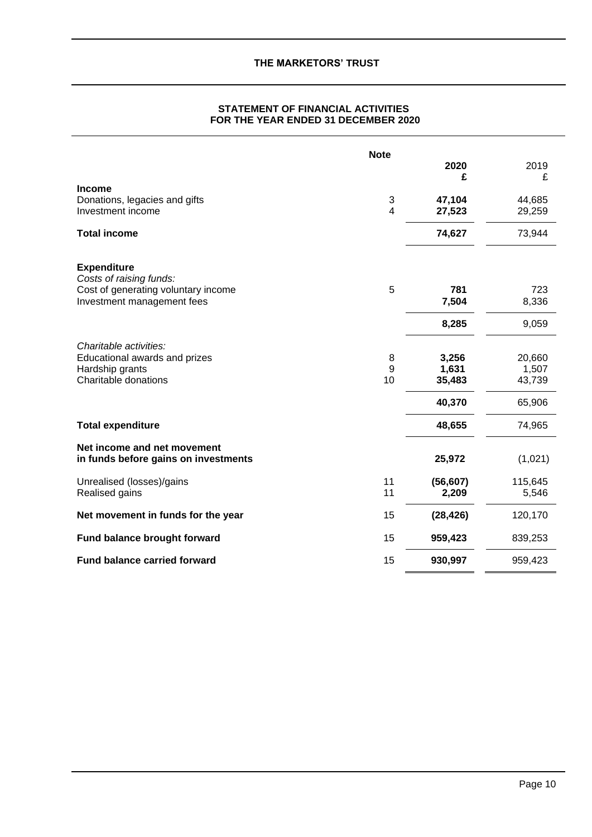| STATEMENT OF FINANCIAL ACTIVITIES   |
|-------------------------------------|
| FOR THE YEAR ENDED 31 DECEMBER 2020 |

|                                                                                                                    | <b>Note</b>  | 2020                               | 2019                                |
|--------------------------------------------------------------------------------------------------------------------|--------------|------------------------------------|-------------------------------------|
| <b>Income</b><br>Donations, legacies and gifts<br>Investment income                                                | 3<br>4       | £<br>47,104<br>27,523              | £<br>44,685<br>29,259               |
| <b>Total income</b>                                                                                                |              | 74,627                             | 73,944                              |
| <b>Expenditure</b><br>Costs of raising funds:<br>Cost of generating voluntary income<br>Investment management fees | 5            | 781<br>7,504                       | 723<br>8,336                        |
|                                                                                                                    |              | 8,285                              | 9,059                               |
| Charitable activities:<br>Educational awards and prizes<br>Hardship grants<br>Charitable donations                 | 8<br>9<br>10 | 3,256<br>1,631<br>35,483<br>40,370 | 20,660<br>1,507<br>43,739<br>65,906 |
| <b>Total expenditure</b>                                                                                           |              | 48,655                             | 74,965                              |
| Net income and net movement<br>in funds before gains on investments                                                |              | 25,972                             | (1,021)                             |
| Unrealised (losses)/gains<br>Realised gains                                                                        | 11<br>11     | (56, 607)<br>2,209                 | 115,645<br>5,546                    |
| Net movement in funds for the year                                                                                 | 15           | (28, 426)                          | 120,170                             |
| <b>Fund balance brought forward</b>                                                                                | 15           | 959,423                            | 839,253                             |
| <b>Fund balance carried forward</b>                                                                                | 15           | 930,997                            | 959,423                             |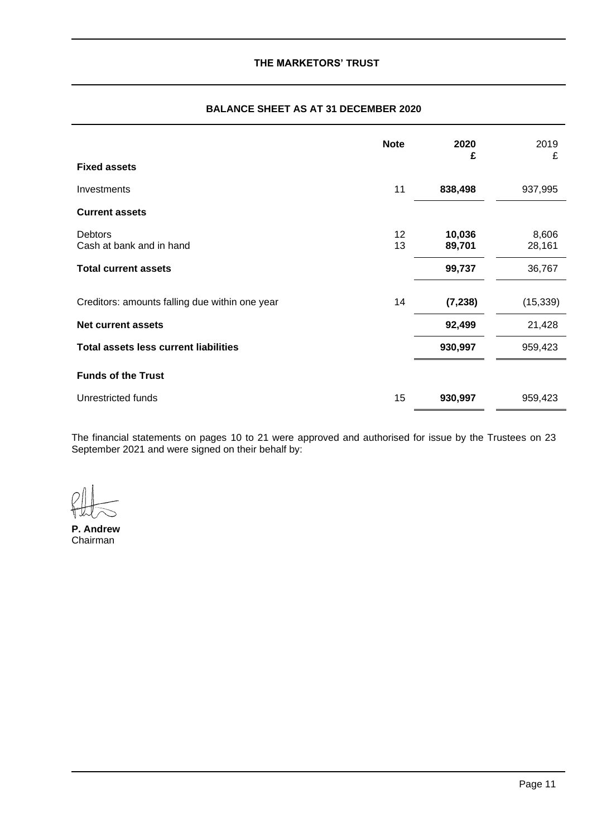|                                                | <b>Note</b> | 2020<br>£        | 2019<br>£       |
|------------------------------------------------|-------------|------------------|-----------------|
| <b>Fixed assets</b>                            |             |                  |                 |
| <b>Investments</b>                             | 11          | 838,498          | 937,995         |
| <b>Current assets</b>                          |             |                  |                 |
| <b>Debtors</b><br>Cash at bank and in hand     | 12<br>13    | 10,036<br>89,701 | 8,606<br>28,161 |
| <b>Total current assets</b>                    |             | 99,737           | 36,767          |
| Creditors: amounts falling due within one year | 14          | (7, 238)         | (15, 339)       |
| Net current assets                             |             | 92,499           | 21,428          |
| <b>Total assets less current liabilities</b>   |             | 930,997          | 959,423         |
| <b>Funds of the Trust</b>                      |             |                  |                 |
| Unrestricted funds                             | 15          | 930,997          | 959,423         |

# **BALANCE SHEET AS AT 31 DECEMBER 2020**

The financial statements on pages 10 to 21 were approved and authorised for issue by the Trustees on 23 September 2021 and were signed on their behalf by:

**P. Andrew** Chairman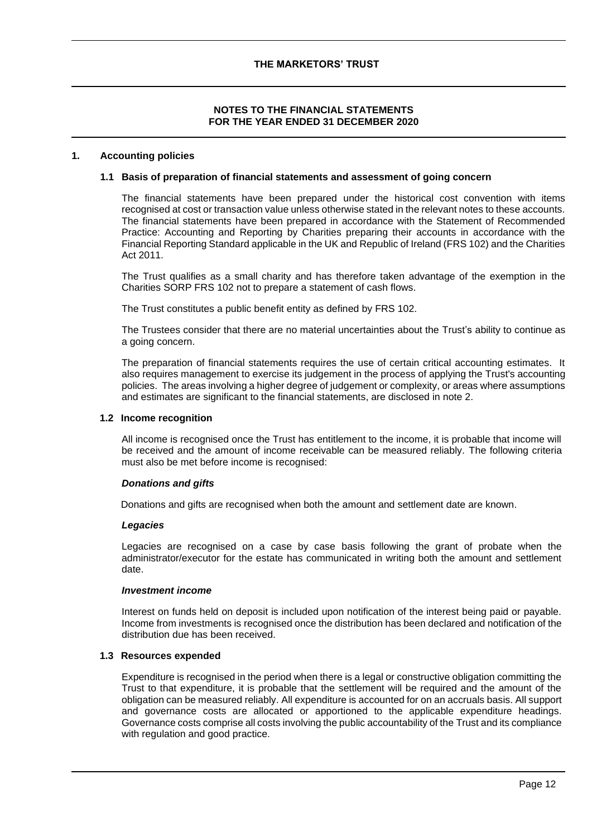# **NOTES TO THE FINANCIAL STATEMENTS FOR THE YEAR ENDED 31 DECEMBER 2020**

#### **1. Accounting policies**

#### **1.1 Basis of preparation of financial statements and assessment of going concern**

The financial statements have been prepared under the historical cost convention with items recognised at cost or transaction value unless otherwise stated in the relevant notes to these accounts. The financial statements have been prepared in accordance with the Statement of Recommended Practice: Accounting and Reporting by Charities preparing their accounts in accordance with the Financial Reporting Standard applicable in the UK and Republic of Ireland (FRS 102) and the Charities Act 2011.

The Trust qualifies as a small charity and has therefore taken advantage of the exemption in the Charities SORP FRS 102 not to prepare a statement of cash flows.

The Trust constitutes a public benefit entity as defined by FRS 102.

The Trustees consider that there are no material uncertainties about the Trust's ability to continue as a going concern.

The preparation of financial statements requires the use of certain critical accounting estimates. It also requires management to exercise its judgement in the process of applying the Trust's accounting policies. The areas involving a higher degree of judgement or complexity, or areas where assumptions and estimates are significant to the financial statements, are disclosed in note 2.

#### **1.2 Income recognition**

All income is recognised once the Trust has entitlement to the income, it is probable that income will be received and the amount of income receivable can be measured reliably. The following criteria must also be met before income is recognised:

#### *Donations and gifts*

Donations and gifts are recognised when both the amount and settlement date are known.

#### *Legacies*

Legacies are recognised on a case by case basis following the grant of probate when the administrator/executor for the estate has communicated in writing both the amount and settlement date.

#### *Investment income*

Interest on funds held on deposit is included upon notification of the interest being paid or payable. Income from investments is recognised once the distribution has been declared and notification of the distribution due has been received.

#### **1.3 Resources expended**

Expenditure is recognised in the period when there is a legal or constructive obligation committing the Trust to that expenditure, it is probable that the settlement will be required and the amount of the obligation can be measured reliably. All expenditure is accounted for on an accruals basis. All support and governance costs are allocated or apportioned to the applicable expenditure headings. Governance costs comprise all costs involving the public accountability of the Trust and its compliance with regulation and good practice.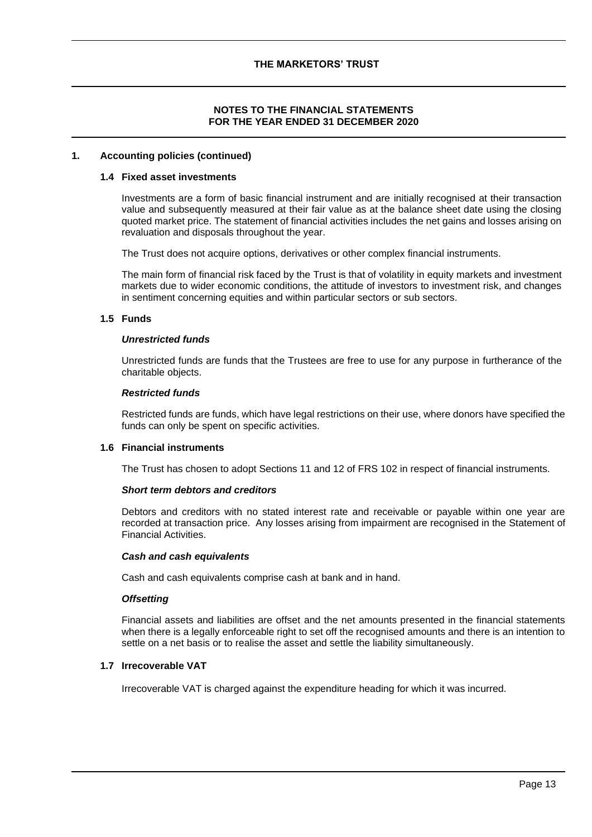# **NOTES TO THE FINANCIAL STATEMENTS FOR THE YEAR ENDED 31 DECEMBER 2020**

#### **1. Accounting policies (continued)**

#### **1.4 Fixed asset investments**

Investments are a form of basic financial instrument and are initially recognised at their transaction value and subsequently measured at their fair value as at the balance sheet date using the closing quoted market price. The statement of financial activities includes the net gains and losses arising on revaluation and disposals throughout the year.

The Trust does not acquire options, derivatives or other complex financial instruments.

The main form of financial risk faced by the Trust is that of volatility in equity markets and investment markets due to wider economic conditions, the attitude of investors to investment risk, and changes in sentiment concerning equities and within particular sectors or sub sectors.

### **1.5 Funds**

#### *Unrestricted funds*

Unrestricted funds are funds that the Trustees are free to use for any purpose in furtherance of the charitable objects.

### *Restricted funds*

Restricted funds are funds, which have legal restrictions on their use, where donors have specified the funds can only be spent on specific activities.

#### **1.6 Financial instruments**

The Trust has chosen to adopt Sections 11 and 12 of FRS 102 in respect of financial instruments.

#### *Short term debtors and creditors*

Debtors and creditors with no stated interest rate and receivable or payable within one year are recorded at transaction price. Any losses arising from impairment are recognised in the Statement of Financial Activities.

#### *Cash and cash equivalents*

Cash and cash equivalents comprise cash at bank and in hand.

#### *Offsetting*

Financial assets and liabilities are offset and the net amounts presented in the financial statements when there is a legally enforceable right to set off the recognised amounts and there is an intention to settle on a net basis or to realise the asset and settle the liability simultaneously.

# **1.7 Irrecoverable VAT**

Irrecoverable VAT is charged against the expenditure heading for which it was incurred.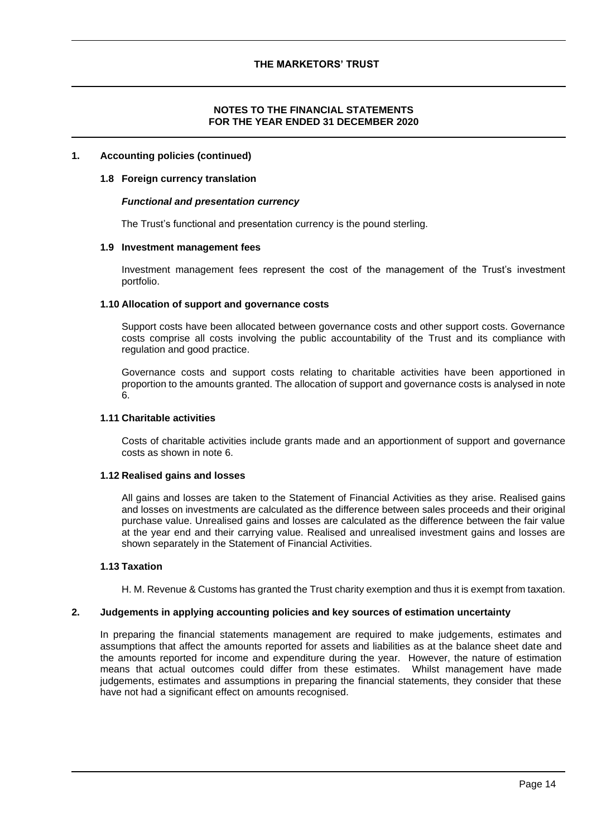#### **1. Accounting policies (continued)**

#### **1.8 Foreign currency translation**

#### *Functional and presentation currency*

The Trust's functional and presentation currency is the pound sterling.

#### **1.9 Investment management fees**

Investment management fees represent the cost of the management of the Trust's investment portfolio.

#### **1.10 Allocation of support and governance costs**

Support costs have been allocated between governance costs and other support costs. Governance costs comprise all costs involving the public accountability of the Trust and its compliance with regulation and good practice.

Governance costs and support costs relating to charitable activities have been apportioned in proportion to the amounts granted. The allocation of support and governance costs is analysed in note 6.

#### **1.11 Charitable activities**

Costs of charitable activities include grants made and an apportionment of support and governance costs as shown in note 6.

#### **1.12 Realised gains and losses**

All gains and losses are taken to the Statement of Financial Activities as they arise. Realised gains and losses on investments are calculated as the difference between sales proceeds and their original purchase value. Unrealised gains and losses are calculated as the difference between the fair value at the year end and their carrying value. Realised and unrealised investment gains and losses are shown separately in the Statement of Financial Activities.

#### **1.13 Taxation**

H. M. Revenue & Customs has granted the Trust charity exemption and thus it is exempt from taxation.

#### **2. Judgements in applying accounting policies and key sources of estimation uncertainty**

In preparing the financial statements management are required to make judgements, estimates and assumptions that affect the amounts reported for assets and liabilities as at the balance sheet date and the amounts reported for income and expenditure during the year. However, the nature of estimation means that actual outcomes could differ from these estimates. Whilst management have made judgements, estimates and assumptions in preparing the financial statements, they consider that these have not had a significant effect on amounts recognised.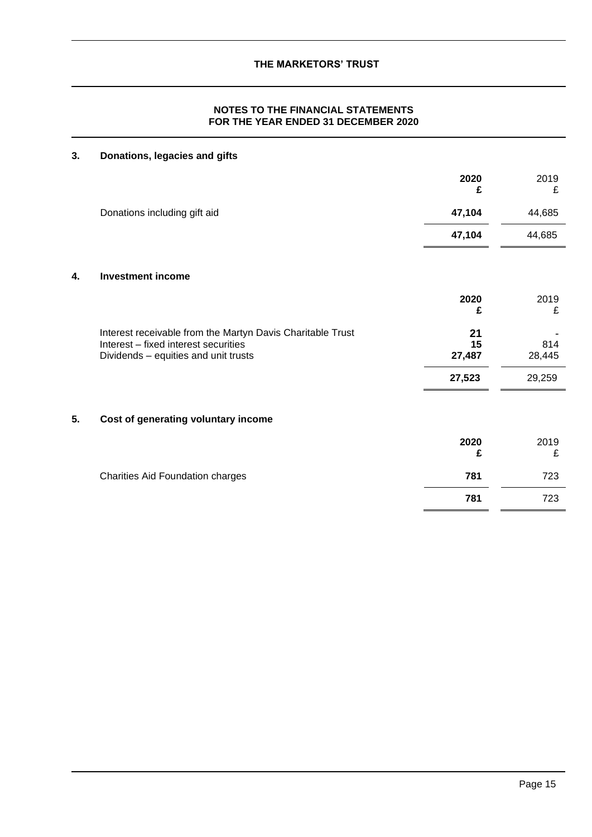# **3. Donations, legacies and gifts**

|    |                                                                                                                                            | 2020<br>£          | 2019<br>£     |
|----|--------------------------------------------------------------------------------------------------------------------------------------------|--------------------|---------------|
|    | Donations including gift aid                                                                                                               | 47,104             | 44,685        |
|    |                                                                                                                                            | 47,104             | 44,685        |
| 4. | <b>Investment income</b>                                                                                                                   |                    |               |
|    |                                                                                                                                            | 2020<br>£          | 2019<br>£     |
|    | Interest receivable from the Martyn Davis Charitable Trust<br>Interest - fixed interest securities<br>Dividends - equities and unit trusts | 21<br>15<br>27,487 | 814<br>28,445 |
|    |                                                                                                                                            | 27,523             | 29,259        |
| 5. | Cost of generating voluntary income                                                                                                        |                    |               |
|    |                                                                                                                                            | 2020<br>£          | 2019<br>£     |
|    | Charities Aid Foundation charges                                                                                                           | 781                | 723           |
|    |                                                                                                                                            | 781                | 723           |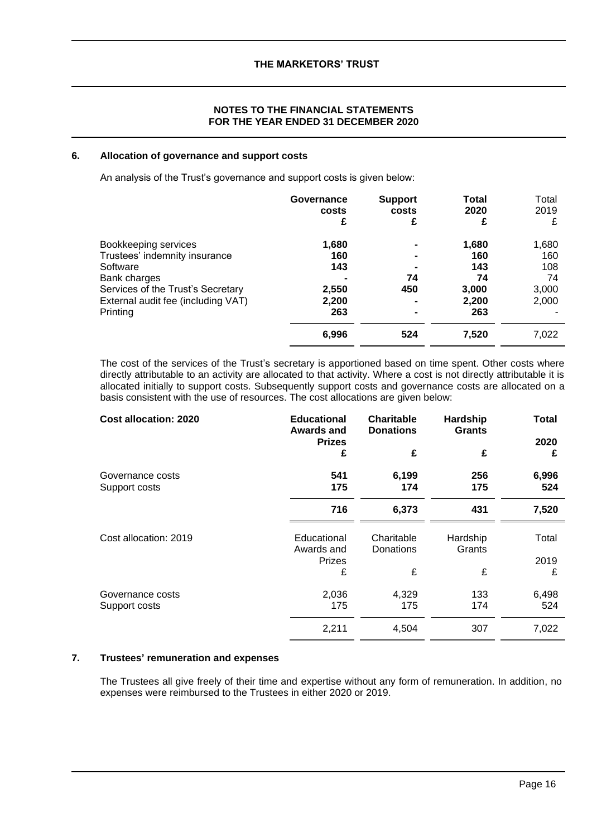### **6. Allocation of governance and support costs**

An analysis of the Trust's governance and support costs is given below:

|                                                | Governance   | <b>Support</b> | <b>Total</b> | Total |
|------------------------------------------------|--------------|----------------|--------------|-------|
|                                                | costs        | costs          | 2020         | 2019  |
|                                                | £            | £              | £            | £     |
| Bookkeeping services                           | 1,680        |                | 1,680        | 1,680 |
| Trustees' indemnity insurance                  | 160          |                | 160          | 160   |
| Software                                       | 143          |                | 143          | 108   |
| Bank charges                                   | 2,550        | 74             | 74           | 74    |
| Services of the Trust's Secretary              |              | 450            | 3,000        | 3,000 |
| External audit fee (including VAT)<br>Printing | 2,200<br>263 |                | 2,200<br>263 | 2,000 |
|                                                | 6,996        | 524            | 7,520        | 7,022 |

The cost of the services of the Trust's secretary is apportioned based on time spent. Other costs where directly attributable to an activity are allocated to that activity. Where a cost is not directly attributable it is allocated initially to support costs. Subsequently support costs and governance costs are allocated on a basis consistent with the use of resources. The cost allocations are given below:

| <b>Cost allocation: 2020</b>      | <b>Educational</b><br><b>Awards and</b>    | <b>Charitable</b><br><b>Donations</b> | Hardship<br><b>Grants</b> | Total         |
|-----------------------------------|--------------------------------------------|---------------------------------------|---------------------------|---------------|
|                                   | <b>Prizes</b><br>£                         | £                                     | £                         | 2020<br>£     |
| Governance costs<br>Support costs | 541<br>175                                 | 6,199<br>174                          | 256<br>175                | 6,996<br>524  |
|                                   | 716                                        | 6,373                                 | 431                       | 7,520         |
| Cost allocation: 2019             | Educational<br>Awards and<br><b>Prizes</b> | Charitable<br>Donations               | Hardship<br>Grants        | Total<br>2019 |
|                                   | £                                          | £                                     | £                         | £             |
| Governance costs<br>Support costs | 2,036<br>175                               | 4,329<br>175                          | 133<br>174                | 6,498<br>524  |
|                                   | 2,211                                      | 4,504                                 | 307                       | 7,022         |

# **7. Trustees' remuneration and expenses**

The Trustees all give freely of their time and expertise without any form of remuneration. In addition, no expenses were reimbursed to the Trustees in either 2020 or 2019.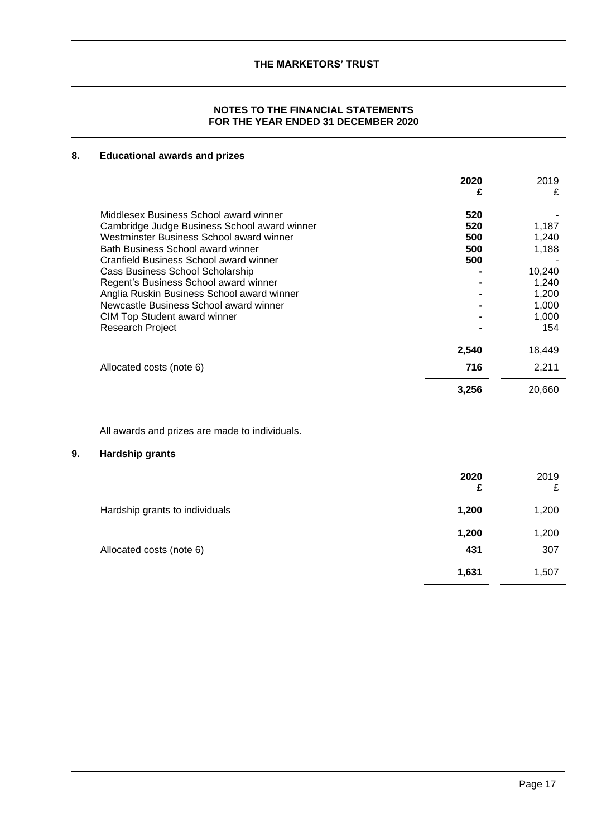# **NOTES TO THE FINANCIAL STATEMENTS FOR THE YEAR ENDED 31 DECEMBER 2020**

# **8. Educational awards and prizes**

|                                              | 2020<br>£ | 2019<br>£ |
|----------------------------------------------|-----------|-----------|
| Middlesex Business School award winner       | 520       |           |
| Cambridge Judge Business School award winner | 520       | 1,187     |
| Westminster Business School award winner     | 500       | 1,240     |
| Bath Business School award winner            | 500       | 1,188     |
| Cranfield Business School award winner       | 500       |           |
| Cass Business School Scholarship             |           | 10,240    |
| Regent's Business School award winner        |           | 1,240     |
| Anglia Ruskin Business School award winner   |           | 1.200     |
| Newcastle Business School award winner       |           | 1,000     |
| <b>CIM Top Student award winner</b>          |           | 1,000     |
| <b>Research Project</b>                      |           | 154       |
|                                              | 2,540     | 18,449    |
| Allocated costs (note 6)                     | 716       | 2,211     |
|                                              | 3,256     | 20,660    |

All awards and prizes are made to individuals.

# **9. Hardship grants**

|                                | 2020<br>£ | 2019<br>£ |
|--------------------------------|-----------|-----------|
| Hardship grants to individuals | 1,200     | 1,200     |
|                                | 1,200     | 1,200     |
| Allocated costs (note 6)       | 431       | 307       |
|                                | 1,631     | 1,507     |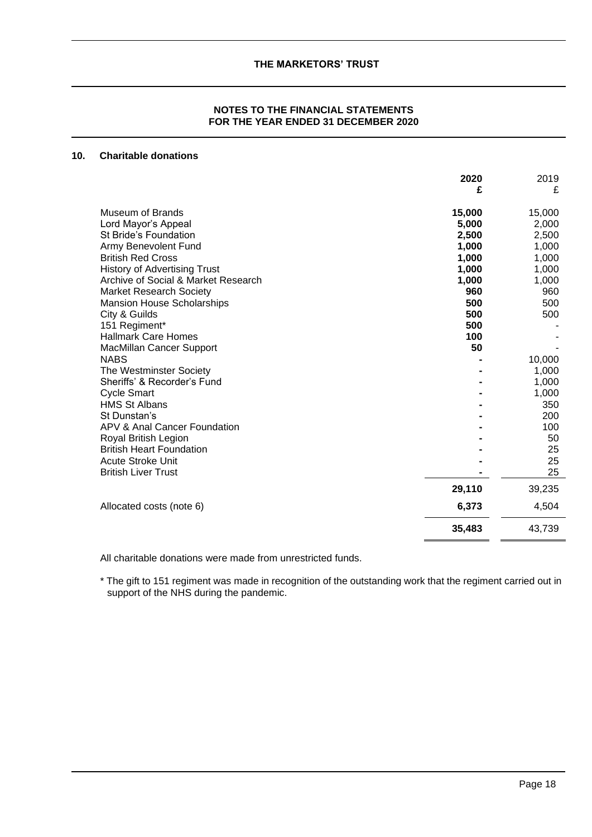# **10. Charitable donations**

|                                     | 2020<br>£ | 2019<br>£ |
|-------------------------------------|-----------|-----------|
| <b>Museum of Brands</b>             | 15,000    | 15,000    |
| Lord Mayor's Appeal                 | 5,000     | 2,000     |
| <b>St Bride's Foundation</b>        | 2,500     | 2,500     |
| Army Benevolent Fund                | 1,000     | 1,000     |
| <b>British Red Cross</b>            | 1,000     | 1,000     |
| <b>History of Advertising Trust</b> | 1,000     | 1,000     |
| Archive of Social & Market Research | 1,000     | 1,000     |
| <b>Market Research Society</b>      | 960       | 960       |
| <b>Mansion House Scholarships</b>   | 500       | 500       |
| City & Guilds                       | 500       | 500       |
| 151 Regiment*                       | 500       |           |
| <b>Hallmark Care Homes</b>          | 100       |           |
| <b>MacMillan Cancer Support</b>     | 50        |           |
| <b>NABS</b>                         |           | 10,000    |
| The Westminster Society             |           | 1,000     |
| Sheriffs' & Recorder's Fund         |           | 1,000     |
| <b>Cycle Smart</b>                  |           | 1,000     |
| <b>HMS St Albans</b>                |           | 350       |
| St Dunstan's                        |           | 200       |
| APV & Anal Cancer Foundation        |           | 100       |
| Royal British Legion                |           | 50        |
| <b>British Heart Foundation</b>     |           | 25        |
| <b>Acute Stroke Unit</b>            |           | 25        |
| <b>British Liver Trust</b>          |           | 25        |
|                                     | 29,110    | 39,235    |
| Allocated costs (note 6)            | 6,373     | 4,504     |
|                                     | 35,483    | 43,739    |

All charitable donations were made from unrestricted funds.

\* The gift to 151 regiment was made in recognition of the outstanding work that the regiment carried out in support of the NHS during the pandemic.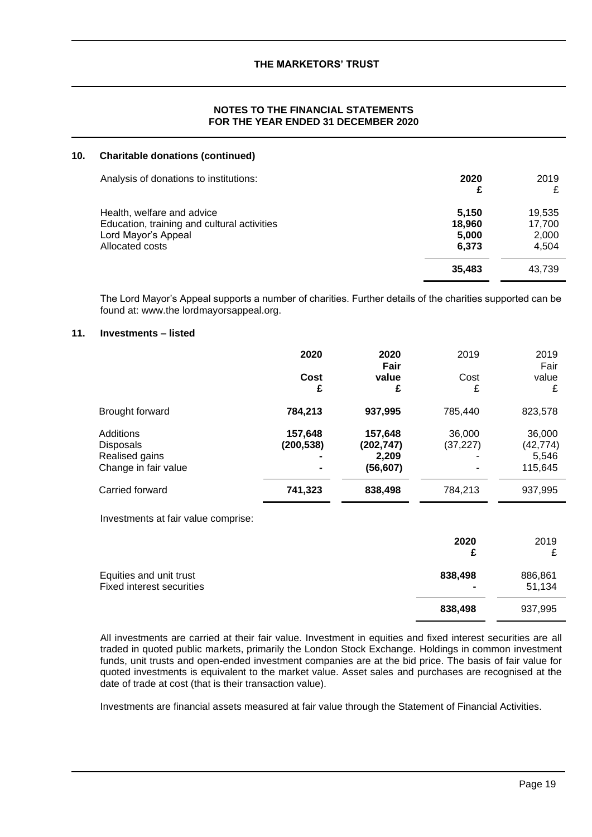### **NOTES TO THE FINANCIAL STATEMENTS FOR THE YEAR ENDED 31 DECEMBER 2020**

#### **10. Charitable donations (continued)**

| Analysis of donations to institutions:                                                                              | 2020<br>£                         | 2019<br>£                          |
|---------------------------------------------------------------------------------------------------------------------|-----------------------------------|------------------------------------|
| Health, welfare and advice<br>Education, training and cultural activities<br>Lord Mayor's Appeal<br>Allocated costs | 5.150<br>18,960<br>5,000<br>6,373 | 19.535<br>17,700<br>2,000<br>4.504 |
|                                                                                                                     | 35.483                            | 43,739                             |

The Lord Mayor's Appeal supports a number of charities. Further details of the charities supported can be found at: www.the lordmayorsappeal.org.

### **11. Investments – listed**

|                      | 2020       | 2020<br>Fair | 2019      | 2019<br>Fair |
|----------------------|------------|--------------|-----------|--------------|
|                      | Cost<br>£  | value<br>£   | Cost<br>£ | value<br>£   |
| Brought forward      | 784,213    | 937,995      | 785,440   | 823,578      |
| Additions            | 157,648    | 157,648      | 36,000    | 36,000       |
| <b>Disposals</b>     | (200, 538) | (202, 747)   | (37, 227) | (42, 774)    |
| Realised gains       |            | 2,209        |           | 5,546        |
| Change in fair value |            | (56, 607)    |           | 115,645      |
| Carried forward      | 741,323    | 838,498      | 784,213   | 937,995      |

Investments at fair value comprise:

|                                                             | 2020                      | 2019<br>₽         |
|-------------------------------------------------------------|---------------------------|-------------------|
| Equities and unit trust<br><b>Fixed interest securities</b> | 838,498<br>$\blacksquare$ | 886,861<br>51,134 |
|                                                             | 838,498                   | 937,995           |

All investments are carried at their fair value. Investment in equities and fixed interest securities are all traded in quoted public markets, primarily the London Stock Exchange. Holdings in common investment funds, unit trusts and open-ended investment companies are at the bid price. The basis of fair value for quoted investments is equivalent to the market value. Asset sales and purchases are recognised at the date of trade at cost (that is their transaction value).

Investments are financial assets measured at fair value through the Statement of Financial Activities.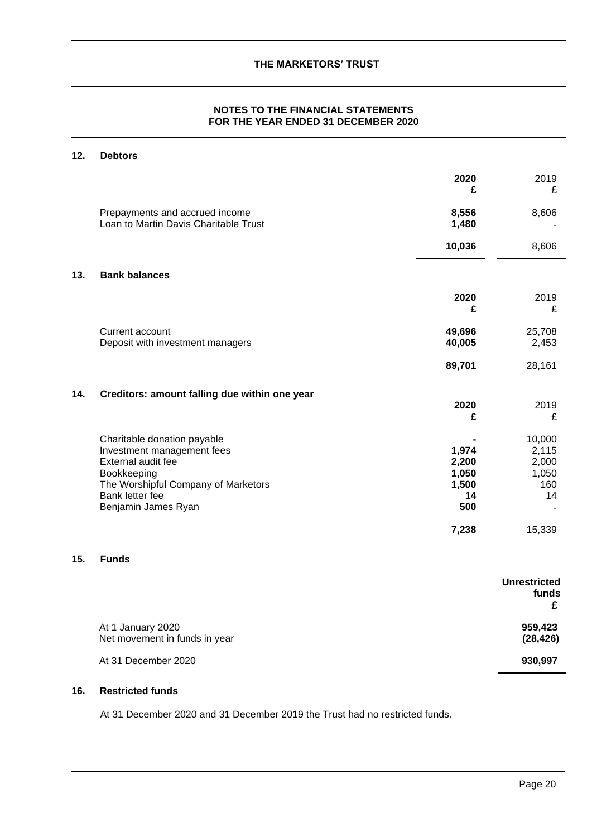# **NOTES TO THE FINANCIAL STATEMENTS FOR THE YEAR ENDED 31 DECEMBER 2020**

# **12. Debtors**

|     |                                                                                                                                                                                 | 2020<br>£                                              | 2019<br>£                                                |
|-----|---------------------------------------------------------------------------------------------------------------------------------------------------------------------------------|--------------------------------------------------------|----------------------------------------------------------|
|     | Prepayments and accrued income<br>Loan to Martin Davis Charitable Trust                                                                                                         | 8,556<br>1,480                                         | 8,606                                                    |
|     |                                                                                                                                                                                 | 10,036                                                 | 8,606                                                    |
| 13. | <b>Bank balances</b>                                                                                                                                                            |                                                        |                                                          |
|     |                                                                                                                                                                                 | 2020<br>£                                              | 2019<br>£                                                |
|     | Current account<br>Deposit with investment managers                                                                                                                             | 49,696<br>40,005                                       | 25,708<br>2,453                                          |
|     |                                                                                                                                                                                 | 89,701                                                 | 28,161                                                   |
| 14. | Creditors: amount falling due within one year                                                                                                                                   |                                                        |                                                          |
|     |                                                                                                                                                                                 | 2020<br>£                                              | 2019<br>£                                                |
|     | Charitable donation payable<br>Investment management fees<br>External audit fee<br>Bookkeeping<br>The Worshipful Company of Marketors<br>Bank letter fee<br>Benjamin James Ryan | 1,974<br>2,200<br>1,050<br>1,500<br>14<br>500<br>7,238 | 10,000<br>2,115<br>2,000<br>1,050<br>160<br>14<br>15,339 |
| 15. | <b>Funds</b>                                                                                                                                                                    |                                                        |                                                          |
|     |                                                                                                                                                                                 |                                                        | <b>Unrestricted</b>                                      |

|                                                    | um cou iutu<br>funds |
|----------------------------------------------------|----------------------|
| At 1 January 2020<br>Net movement in funds in year | 959,423<br>(28, 426) |
| At 31 December 2020                                | 930,997              |

# **16. Restricted funds**

At 31 December 2020 and 31 December 2019 the Trust had no restricted funds.